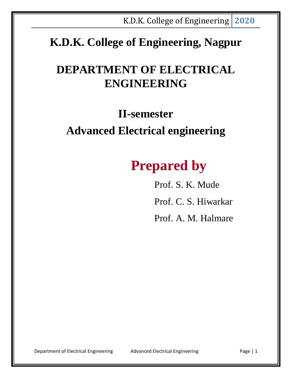## **K.D.K. College of Engineering, Nagpur**

## **DEPARTMENT OF ELECTRICAL ENGINEERING**

# **II-semester Advanced Electrical engineering**

# **Prepared by**

Prof. S. K. Mude Prof. C. S. Hiwarkar Prof. A. M. Halmare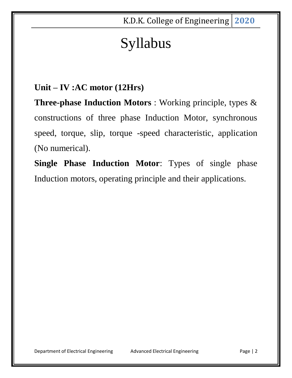# Syllabus

## **Unit – IV :AC motor (12Hrs)**

**Three-phase Induction Motors** : Working principle, types & constructions of three phase Induction Motor, synchronous speed, torque, slip, torque -speed characteristic, application (No numerical).

**Single Phase Induction Motor**: Types of single phase Induction motors, operating principle and their applications.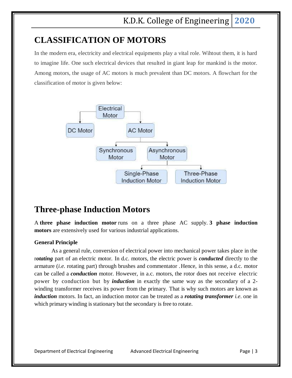## **CLASSIFICATION OF MOTORS**

In the modern era, electricity and electrical equipments play a vital role. Wihtout them, it is hard to imagine life. One such electrical devices that resulted in giant leap for mankind is the motor. Among motors, the usage of AC motors is much prevalent than DC motors. A flowchart for the classification of motor is given below:



## **Three-phase Induction Motors**

A **three phase induction motor** runs on a three phase AC supply. **3 phase induction motors** are extensively used for various industrial applications.

#### **General Principle**

As a general rule, conversion of electrical power into mechanical power takes place in the r*otating* part of an electric motor. In d.c. motors, the electric power is *conducted* directly to the armature (*i.e*. rotating part) through brushes and commentator .Hence, in this sense, a d.c. motor can be called a *conduction* motor. However, in a.c. motors, the rotor does not receive electric power by conduction but by *induction* in exactly the same way as the secondary of a 2 winding transformer receives its power from the primary. That is why such motors are known as *induction* motors. In fact, an induction motor can be treated as a *rotating transformer i.e*. one in which primary winding is stationary but the secondary is free to rotate.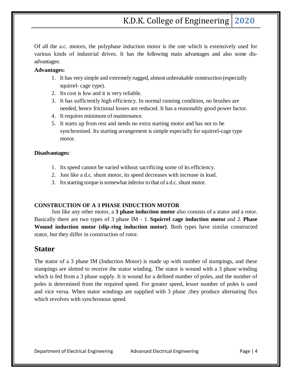Of all the a.c. motors, the polyphase induction motor is the one which is extensively used for various kinds of industrial drives. It has the following main advantages and also some disadvantages:

#### **Advantages:**

- 1. It has very simple and extremely rugged, almost unbreakable construction (especially squirrel- cage type).
- 2. Its cost is low and it is very reliable.
- 3. It has sufficiently high efficiency. In normal running condition, no brushes are needed, hence frictional losses are reduced. It has a reasonably good power factor.
- 4. It requires minimum of maintenance.
- 5. It starts up from rest and needs no extra starting motor and has not to be synchronised. Its starting arrangement is simple especially for squirrel-cage type motor.

#### **Disadvantages:**

- 1. Its speed cannot be varied without sacrificing some of its efficiency.
- 2. Just like a d.c. shunt motor, its speed decreases with increase in load.
- 3. Its starting torque is somewhat inferior to that of a d.c. shunt motor.

#### **CONSTRUCTION OF A 3 PHASE INDUCTION MOTOR**

Just like any other motor, a **3 phase induction motor** also consists of a stator and a rotor. Basically there are two types of 3 phase IM - 1. **Squirrel cage induction motor** and 2. **Phase Wound induction motor (slip-ring induction motor)**. Both types have similar constructed stator, but they differ in construction of rotor.

#### **Stator**

The stator of a 3 phase IM [\(Induction](https://www.electricaleasy.com/2014/02/working-principle-and-types-of.html) Motor) is made up with number of stampings, and these stampings are slotted to receive the stator winding. The stator is wound with a 3 phase winding which is fed from a 3 phase supply. It is wound for a defined number of poles, and the number of poles is determined from the required speed. For greater speed, lesser number of poles is used and vice versa. When stator windings are supplied with 3 phase ,they produce alternating flux which revolves with synchronous speed.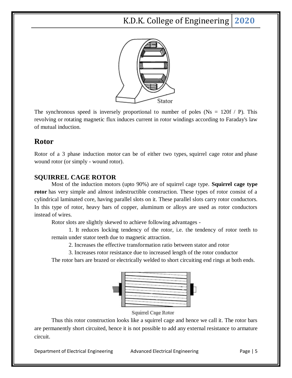

The synchronous speed is inversely proportional to number of poles (Ns =  $120f / P$ ). This revolving or rotating [magnetic](https://www.electricaleasy.com/2014/02/production-of-rotating-magnetic-field.html) flux induces current in rotor windings according to [Faraday's](https://www.electricaleasy.com/2014/02/faradays-law-and-lenzs-law-of.html) law of mutual [induction.](https://www.electricaleasy.com/2014/02/faradays-law-and-lenzs-law-of.html)

#### **Rotor**

Rotor of a 3 phase induction motor can be of either two types, squirrel cage rotor and phase wound rotor (or simply - wound rotor).

#### **SQUIRREL CAGE ROTOR**

Most of the induction motors (upto 90%) are of squirrel cage type. **Squirrel cage type rotor** has very simple and almost indestructible construction. These types of rotor consist of a cylindrical laminated core, having parallel slots on it. These parallel slots carry rotor conductors. In this type of rotor, heavy bars of copper, aluminum or alloys are used as rotor conductors instead of wires.

Rotor slots are slightly skewed to achieve following advantages -

1. It reduces locking tendency of the rotor, i.e. the tendency of rotor teeth to remain under stator teeth due to magnetic attraction.

2. Increases the effective transformation ratio between stator and rotor

3. Increases rotor resistance due to increased length of the rotor conductor

The rotor bars are brazed or electrically welded to short circuiting end rings at both ends.



Squirrel Cage Rotor

Thus this rotor construction looks like a squirrel cage and hence we call it. The rotor bars are permanently short circuited, hence it is not possible to add any external resistance to armature circuit.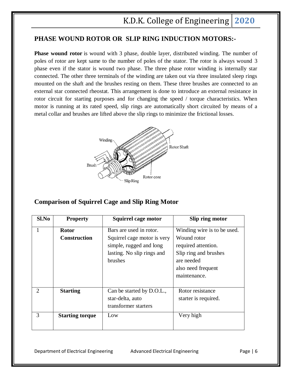#### **PHASE WOUND ROTOR OR SLIP RING INDUCTION MOTORS:-**

**Phase wound rotor** is wound with 3 phase, double layer, distributed winding. The number of poles of rotor are kept same to the number of poles of the stator. The rotor is always wound 3 phase even if the stator is wound two phase. The three phase rotor winding is internally star connected. The other three terminals of the winding are taken out via three insulated sleep rings mounted on the shaft and the brushes resting on them. These three brushes are connected to an external star connected rheostat. This arrangement is done to introduce an external resistance in rotor circuit for starting purposes and for changing the speed / torque characteristics. When motor is running at its rated speed, slip rings are automatically short circuited by means of a metal collar and brushes are lifted above the slip rings to minimize the frictional losses.



#### **Comparison of Squirrel Cage and Slip Ring Motor**

| Sl.No          | <b>Property</b>                     | Squirrel cage motor                                                                                                        | Slip ring motor                                                                                                                                |
|----------------|-------------------------------------|----------------------------------------------------------------------------------------------------------------------------|------------------------------------------------------------------------------------------------------------------------------------------------|
| 1              | <b>Rotor</b><br><b>Construction</b> | Bars are used in rotor.<br>Squirrel cage motor is very<br>simple, rugged and long<br>lasting. No slip rings and<br>brushes | Winding wire is to be used.<br>Wound rotor<br>required attention.<br>Slip ring and brushes<br>are needed<br>also need frequent<br>maintenance. |
| $\overline{2}$ | <b>Starting</b>                     | Can be started by D.O.L.,<br>star-delta, auto<br>transformer starters                                                      | Rotor resistance<br>starter is required.                                                                                                       |
| 3              | <b>Starting torque</b>              | Low                                                                                                                        | Very high                                                                                                                                      |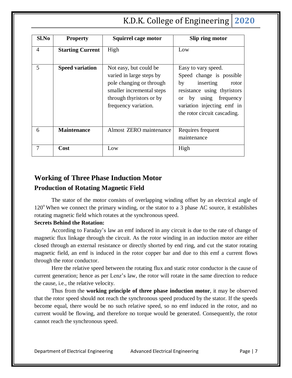| Sl.No | <b>Property</b>         | <b>Squirrel cage motor</b>                                                                                                                                      | Slip ring motor                                                                                                                                                                                                    |
|-------|-------------------------|-----------------------------------------------------------------------------------------------------------------------------------------------------------------|--------------------------------------------------------------------------------------------------------------------------------------------------------------------------------------------------------------------|
| 4     | <b>Starting Current</b> | High                                                                                                                                                            | Low                                                                                                                                                                                                                |
| 5     | <b>Speed variation</b>  | Not easy, but could be<br>varied in large steps by<br>pole changing or through<br>smaller incremental steps<br>through thyristors or by<br>frequency variation. | Easy to vary speed.<br>Speed change is possible<br>inserting<br>by<br>rotor<br>resistance using thyristors<br>by using<br>frequency<br><sub>or</sub><br>variation injecting emf in<br>the rotor circuit cascading. |
| 6     | <b>Maintenance</b>      | Almost ZERO maintenance                                                                                                                                         | Requires frequent<br>maintenance                                                                                                                                                                                   |
| 7     | Cost                    | Low                                                                                                                                                             | High                                                                                                                                                                                                               |

### **Working of Three Phase Induction Motor Production of Rotating Magnetic Field**

The stator of the motor consists of overlapping winding offset by an electrical angle of  $120^{\circ}$  When we connect the primary winding, or the stator to a 3 phase AC source, it establishes rotating magnetic field which rotates at the synchronous speed.

#### **Secrets Behind the Rotation:**

According to Faraday's law an emf induced in any circuit is due to the rate of change of magnetic flux linkage through the circuit. As the rotor winding in an induction motor are either closed through an external resistance or directly shorted by end ring, and cut the stator rotating magnetic field, an emf is induced in the rotor copper bar and due to this emf a current flows through the rotor conductor.

Here the relative speed between the rotating flux and static rotor conductor is the cause of current generation; hence as per Lenz's law, the rotor will rotate in the same direction to reduce the cause, i.e., the relative velocity.

Thus from the **working principle of three phase induction motor**, it may be observed that the rotor speed should not reach the synchronous speed produced by the stator. If the speeds become equal, there would be no such relative speed, so no emf induced in the rotor, and no current would be flowing, and therefore no torque would be generated. Consequently, the rotor cannot reach the synchronous speed.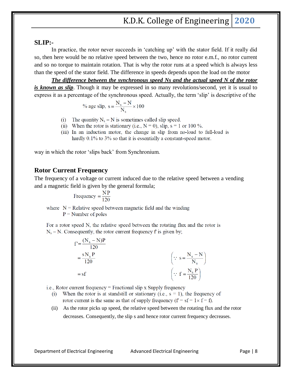#### **SLIP:-**

In practice, the rotor never succeeds in 'catching up' with the stator field. If it really did so, then here would be no relative speed between the two, hence no rotor e.m.f., no rotor current and so no torque to maintain rotation. That is why the rotor runs at a speed which is always less than the speed of the stator field. The difference in speeds depends upon the load on the motor

*The difference between the synchronous speed Ns and the actual speed N of the rotor is known as slip*. Though it may be expressed in so many revolutions/second, yet it is usual to express it as a percentage of the synchronous speed. Actually, the term 'slip' is descriptive of the

% age slip, 
$$
s = \frac{N_s - N}{N_s} \times 100
$$

- The quantity  $N_s N$  is sometimes called slip speed.  $(i)$
- (ii) When the rotor is stationary (i.e.,  $N = 0$ ), slip,  $s = 1$  or 100 %.
- (iii) In an induction motor, the change in slip from no-load to full-load is hardly  $0.1\%$  to 3% so that it is essentially a constant-speed motor.

way in which the rotor 'slips back' from Synchronium.

#### **Rotor Current Frequency**

The frequency of a voltage or current induced due to the relative speed between a vending and a magnetic field is given by the general formula;

Frequency = 
$$
\frac{NP}{120}
$$

where  $N =$  Relative speed between magnetic field and the winding  $P =$ Number of poles

For a rotor speed N, the relative speed between the rotating flux and the rotor is  $N_s - N$ . Consequently, the rotor current frequency f is given by;

$$
f' = \frac{(N_s - N)P}{120}
$$
  
=  $\frac{sN_s P}{120}$   $(\because s = \frac{N_s - N}{N_s})$   
= sf  $(\because f = \frac{N_s P}{120})$ 

i.e., Rotor current frequency = Fractional slip x Supply frequency

- (i) When the rotor is at standard or stationary (i.e.,  $s = 1$ ), the frequency of rotor current is the same as that of supply frequency  $(f = sf = 1 \times f = f)$ .
- (ii) As the rotor picks up speed, the relative speed between the rotating flux and the rotor decreases. Consequently, the slip s and hence rotor current frequency decreases.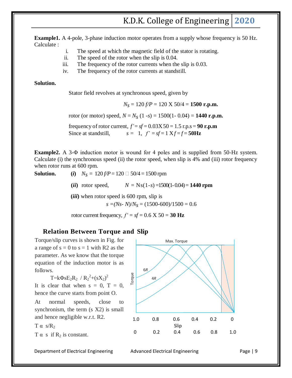**Example1.** A 4-pole, 3-phase induction motor operates from a supply whose frequency is 50 Hz. Calculate :

- i. The speed at which the magnetic field of the stator is rotating.
- ii. The speed of the rotor when the slip is 0.04.
- iii. The frequency of the rotor currents when the slip is 0.03.
- iv. The frequency of the rotor currents at standstill.

#### **Solution.**

Stator field revolves at synchronous speed, given by

 $N_s = 120 f/P = 120 X 50/4 = 1500 r.p.m.$ 

rotor (or motor) speed,  $N = N_s (1 - s) = 1500(1 - 0.04) = 1440$  r.p.m.

frequency of rotor current,  $f' = sf = 0.03X50 = 1.5$  r.p.s = 90 r.p.m Since at standstill,  $s = 1$ ,  $f' = sf = 1$   $Xf = f = 50$ Hz

**Example2.** A 3-Φ induction motor is wound for 4 poles and is supplied from 50-Hz system. Calculate (i) the synchronous speed (ii) the rotor speed, when slip is 4% and (iii) rotor frequency when rotor runs at 600 rpm.

**Solution. (***i*)  $N_s = 120 f/P = 120 \Box 50/4 = 1500$  rpm

(*ii*) rotor speed,  $N = Ns(1-s) =1500(1-0.04) = 1440$  rpm

**(***iii***)** when rotor speed is 600 rpm, slip is

 $s = (Ns - N)/N_s = (1500 - 600)/1500 = 0.6$ 

rotor current frequency,  $f' = sf = 0.6 \text{ X } 50 = 30 \text{ Hz}$ 

#### **Relation Between Torque and Slip**

Torque/slip curves is shown in Fig. for a range of  $s = 0$  to  $s = 1$  with R2 as the parameter. As we know that the torque equation of the induction motor is as follows.

T= $k\Phi sE_2R_2/R_2^2+(sX_2)^2$ It is clear that when  $s = 0$ ,  $T = 0$ , hence the curve starts from point O.

At normal speeds, close to synchronism, the term (s X2) is small and hence negligible w.r.t. R2.

T  $α$  s/ $R<sub>2</sub>$ 

 $T \alpha$  s if  $R_2$  is constant.

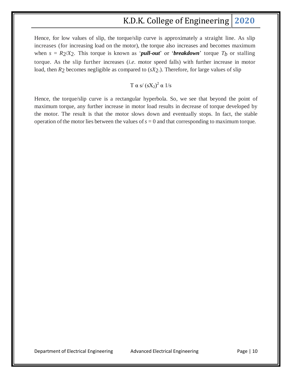Hence, for low values of slip, the torque/slip curve is approximately a straight line. As slip increases (for increasing load on the motor), the torque also increases and becomes maximum when  $s = R_2/X_2$ . This torque is known as '*pull-out*' or '*breakdown*' torque  $T_b$  or stalling torque. As the slip further increases (*i*.*e*. motor speed falls) with further increase in motor load, then *R*2 becomes negligible as compared to (*sX*2.). Therefore, for large values of slip

T α s/  $(sX_2)^2$  α 1/s

Hence, the torque/slip curve is a rectangular hyperbola. So, we see that beyond the point of maximum torque, any further increase in motor load results in decrease of torque developed by the motor. The result is that the motor slows down and eventually stops. In fact, the stable operation of the motor lies between the values of  $s = 0$  and that corresponding to maximum torque.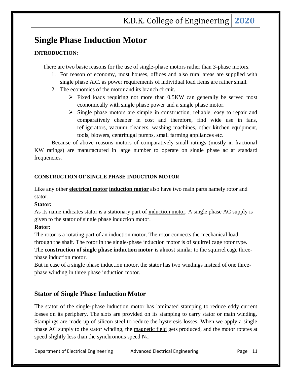## **Single Phase Induction Motor**

#### **INTRODUCTION:**

There are two basic reasons for the use of single-phase motors rather than 3-phase motors.

- 1. For reason of economy, most houses, offices and also rural areas are supplied with single phase A.C. as power requirements of individual load items are rather small.
- 2. The economics of the motor and its branch circuit.
	- $\triangleright$  Fixed loads requiring not more than 0.5KW can generally be served most economically with single phase power and a single phase motor.
	- $\triangleright$  Single phase motors are simple in construction, reliable, easy to repair and comparatively cheaper in cost and therefore, find wide use in fans, refrigerators, vacuum cleaners, washing machines, other kitchen equipment, tools, blowers, centrifugal pumps, small farming appliances etc.

Because of above reasons motors of comparatively small ratings (mostly in fractional KW ratings) are manufactured in large number to operate on single phase ac at standard frequencies.

#### **CONSTRUCTION OF SINGLE PHASE INDUCTION MOTOR**

Like any other **[electrical motor](https://www.electrical4u.com/electrical-motor-types-classification-and-history-of-motor/) [induction motor](https://www.electrical4u.com/induction-motor-types-of-induction-motor/)** also have two main parts namely rotor and stator.

#### **Stator:**

As its name indicates stator is a stationary part of [induction motor.](https://www.electrical4u.com/induction-motor-types-of-induction-motor/) A single phase AC supply is given to the stator of single phase induction motor.

#### **Rotor:**

The rotor is a rotating part of an induction motor. The rotor connects the mechanical load through the shaft. The rotor in the single-phase induction motor is of [squirrel cage rotor type.](https://www.electrical4u.com/squirrel-cage-induction-motor/)

The **construction of single phase induction motor** is almost similar to the squirrel cage threephase induction motor.

But in case of a single phase induction motor, the stator has two windings instead of one threephase winding in [three phase induction motor.](https://www.electrical4u.com/working-principle-of-three-phase-induction-motor/)

#### **Stator of Single Phase Induction Motor**

The stator of the single-phase induction motor has laminated stamping to reduce eddy current losses on its periphery. The slots are provided on its stamping to carry stator or main winding. Stampings are made up of silicon steel to reduce the hysteresis losses. When we apply a single phase AC supply to the stator winding, the [magnetic field](https://www.electrical4u.com/what-is-magnetic-field/) gets produced, and the motor rotates at speed slightly less than the synchronous speed  $N_s$ .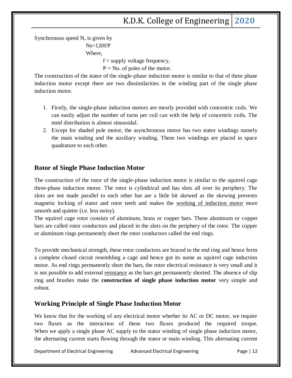Synchronous speed  $N_s$  is given by  $Ns=120f/P$ Where,  $f =$  supply voltage frequency,

 $P = No.$  of poles of the motor.

The construction of the stator of the single-phase induction motor is similar to that of three phase induction motor except there are two dissimilarities in the winding part of the single phase induction motor.

- 1. Firstly, the single-phase induction motors are mostly provided with concentric coils. We can easily adjust the number of turns per coil can with the help of concentric coils. The mmf distribution is almost sinusoidal.
- 2. Except for shaded pole motor, the asynchronous motor has two stator windings namely the main winding and the auxiliary winding. These two windings are placed in space quadrature to each other.

#### **Rotor of Single Phase Induction Motor**

The construction of the rotor of the single-phase induction motor is similar to the squirrel cage three-phase induction motor. The rotor is cylindrical and has slots all over its periphery. The slots are not made parallel to each other but are a little bit skewed as the skewing prevents magnetic locking of stator and rotor teeth and makes the [working of induction motor](https://www.electrical4u.com/induction-motor-types-of-induction-motor/) more smooth and quieter (i.e. less noisy).

The squirrel cage rotor consists of aluminum, brass or copper bars. These aluminum or copper bars are called rotor conductors and placed in the slots on the periphery of the rotor. The copper or aluminum rings permanently short the rotor conductors called the end rings.

To provide mechanical strength, these rotor conductors are braced to the end ring and hence form a complete closed circuit resembling a cage and hence got its name as squirrel cage induction motor. As end rings permanently short the bars, the rotor electrical resistance is very small and it is not possible to add external [resistance](https://www.electrical4u.com/what-is-electrical-resistance/) as the bars get permanently shorted. The absence of slip ring and brushes make the **construction of single phase induction motor** very simple and robust.

#### **Working Principle of Single Phase Induction Motor**

We know that for the working of any electrical motor whether its AC or DC motor, we require two fluxes as the interaction of these two fluxes produced the required torque. When we apply a single phase AC supply to the stator winding of single phase induction motor, the alternating [current](https://www.electrical4u.com/electric-current-and-theory-of-electricity/) starts flowing through the stator or main winding. This alternating current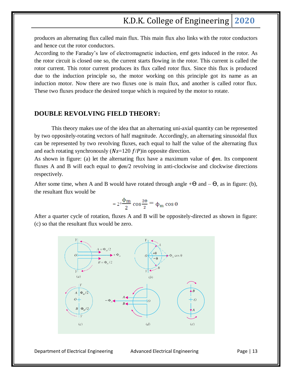produces an alternating flux called main flux. This main [flux](https://www.electrical4u.com/what-is-flux-types-of-flux/) also links with the rotor conductors and hence cut the rotor conductors.

According to the [Faraday's law of electromagnetic induction,](https://www.electrical4u.com/faraday-law-of-electromagnetic-induction/) emf gets induced in the rotor. As the rotor circuit is closed one so, the current starts flowing in the rotor. This current is called the rotor current. This rotor current produces its flux called rotor flux. Since this flux is produced due to the induction principle so, the motor working on this principle got its name as an [induction motor.](https://www.electrical4u.com/induction-motor-types-of-induction-motor/) Now there are two fluxes one is main flux, and another is called rotor flux. These two fluxes produce the desired torque which is required by the motor to rotate.

#### **DOUBLE REVOLVING FIELD THEORY:**

This theory makes use of the idea that an alternating uni-axial quantity can be represented by two oppositely-rotating vectors of half magnitude. Accordingly, an alternating sinusoidal flux can be represented by two revolving fluxes, each equal to half the value of the alternating flux and each rotating synchronously  $(Ns=120 f/P)$ in opposite direction.

As shown in figure: (a) let the alternating flux have a maximum value of  $\phi m$ . Its component fluxes A and B will each equal to  $\phi m/2$  revolving in anti-clockwise and clockwise directions respectively.

After some time, when A and B would have rotated through angle  $+\Theta$  and  $-\Theta$ , as in figure: (b), the resultant flux would be

$$
=2*\frac{\Phi m}{2}\cos\frac{2\Theta}{2}=\varphi_m\cos\Theta
$$

After a quarter cycle of rotation, fluxes A and B will be oppositely-directed as shown in figure: (c) so that the resultant flux would be zero.

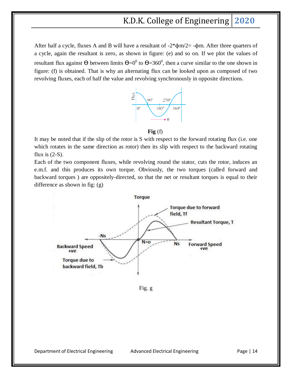After half a cycle, fluxes A and B will have a resultant of  $-2*\phi m/2= -\phi m$ . After three quarters of a cycle, again the resultant is zero, as shown in figure: (e) and so on. If we plot the values of resultant flux against  $\Theta$  between limits  $\Theta = 0^0$  to  $\Theta = 360^0$ , then a curve similar to the one shown in figure: (f) is obtained. That is why an alternating flux can be looked upon as composed of two revolving fluxes, each of half the value and revolving synchronously in opposite directions.



 **Fig** (f)

It may be noted that if the slip of the rotor is S with respect to the forward rotating flux (i.e. one which rotates in the same direction as rotor) then its slip with respect to the backward rotating flux is  $(2-S)$ .

Each of the two component fluxes, while revolving round the stator, cuts the rotor, induces an e.m.f. and this produces its own torque. Obviously, the two torques (called forward and backward torques ) are oppositely-directed, so that the net or resultant torques is equal to their difference as shown in fig: (g)



Fig. g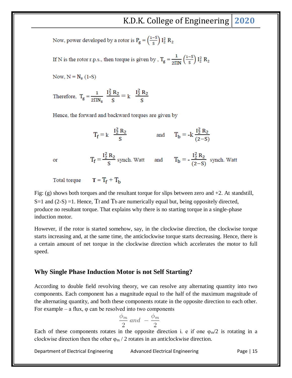Now, power developed by a rotor is  $P_g = \left(\frac{1-S}{S}\right) I_2^2 R_2$ 

If N is the rotor r.p.s., then torque is given by ,  $T_g = \frac{1}{2\pi} \left(\frac{1-S}{s}\right) I_2^2 R_2$ 

Now,  $N = N_s (1-S)$ 

Therefore, 
$$
T_g = \frac{1}{2\pi N_s} \frac{I_2^2 R_2}{S} = k \frac{I_2^2 R_2}{S}
$$

Hence, the forward and backward torques are given by

$$
T_f = k \frac{I_2^2 R_2}{S}
$$
 and  $T_b = -k \frac{I_2^2 R_2}{(2-S)}$   
 $T_f = \frac{I_2^2 R_2}{S}$  synch. Watt and  $T_b = -\frac{I_2^2 R_2}{(2-S)}$  synch. Watt

or

Total torque  $T = T_f + T_b$ 

Fig: (g) shows both torques and the resultant torque for slips between zero and  $+2$ . At standstill,  $S=1$  and  $(2-S)=1$ . Hence, Tf and Tb are numerically equal but, being oppositely directed, produce no resultant torque. That explains why there is no starting torque in a single-phase induction motor.

However, if the rotor is started somehow, say, in the clockwise direction, the clockwise torque starts increasing and, at the same time, the anticlockwise torque starts decreasing. Hence, there is a certain amount of net torque in the clockwise direction which accelerates the motor to full speed.

#### **Why Single Phase Induction Motor is not Self Starting?**

According to double field revolving theory, we can resolve any alternating quantity into two components. Each component has a magnitude equal to the half of the maximum magnitude of the alternating quantity, and both these components rotate in the opposite direction to each other. For example – a flux,  $\varphi$  can be resolved into two components

$$
\frac{\phi_m}{2} \text{ and } -\frac{\phi_m}{2}
$$

Each of these components rotates in the opposite direction i. e if one  $\varphi_m/2$  is rotating in a clockwise direction then the other  $\varphi_m$  / 2 rotates in an anticlockwise direction.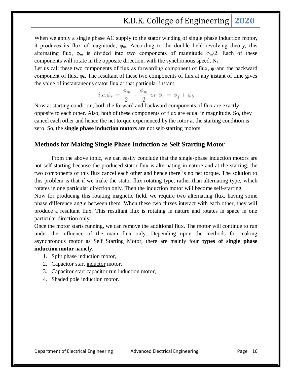When we apply a single phase AC supply to the stator winding of single phase induction motor, it produces its flux of magnitude,  $\varphi_m$ . According to the double field revolving theory, this alternating flux,  $\varphi_m$  is divided into two components of magnitude  $\varphi_m/2$ . Each of these components will rotate in the opposite direction, with the synchronous speed,  $N_s$ .

Let us call these two components of flux as forwarding component of flux,  $\varphi_f$  and the backward component of flux,  $\varphi_b$ . The resultant of these two components of flux at any instant of time gives the value of instantaneous stator flux at that particular instant.

$$
i.e. \phi_r = \frac{\phi_m}{2} + \frac{\phi_m}{2} \text{ or } \phi_r = \phi_f + \phi_b
$$

Now at starting condition, both the forward and backward components of flux are exactly opposite to each other. Also, both of these components of flux are equal in magnitude. So, they cancel each other and hence the net torque experienced by the rotor at the starting condition is zero. So, the **single phase induction motors** are not self-starting motors.

#### **Methods for Making Single Phase Induction as Self Starting Motor**

From the above topic, we can easily conclude that the single-phase induction motors are not self-starting because the produced stator flux is alternating in nature and at the starting, the two components of this flux cancel each other and hence there is no net torque. The solution to this problem is that if we make the stator flux rotating type, rather than alternating type, which rotates in one particular direction only. Then the [induction motor](https://www.electrical4u.com/induction-motor-types-of-induction-motor/) will become self-starting.

Now for producing this rotating magnetic field, we require two alternating flux, having some phase difference angle between them. When these two fluxes interact with each other, they will produce a resultant flux. This resultant flux is rotating in nature and rotates in space in one particular direction only.

Once the motor starts running, we can remove the additional flux. The motor will continue to run under the influence of the main [flux](https://www.electrical4u.com/what-is-flux-types-of-flux/) only. Depending upon the methods for making asynchronous motor as Self Starting Motor, there are mainly four **types of single phase induction motor** namely,

- 1. Split phase induction motor,
- 2. Capacitor start [inductor](https://www.electrical4u.com/what-is-inductor-and-inductance-theory-of-inductor/) motor,
- 3. Capacitor start [capacitor](https://www.electrical4u.com/what-is-capacitor/) run induction motor,
- 4. Shaded pole induction motor.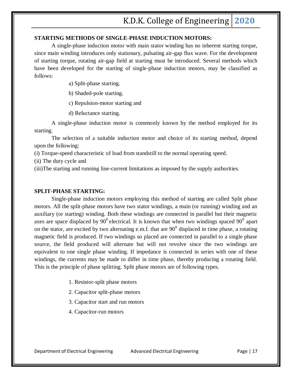#### **STARTING METHODS OF SINGLE-PHASE INDUCTION MOTORS:**

A single-phase induction motor with main stator winding has no inherent starting torque, since main winding introduces only stationary, pulsating air-gap flux wave. For the development of starting torque, rotating air-gap field at starting must be introduced. Several methods which have been developed for the starting of single-phase induction motors, may be classified as follows:

a) Split-phase starting.

b) Shaded-pole starting.

c) Repulsion-motor starting and

d) Reluctance starting.

A single-phase induction motor is commonly known by the method employed for its starting.

The selection of a suitable induction motor and choice of its starting method, depend upon the following:

(i) Torque-speed characteristic of load from standstill to the normal operating speed.

(ii) The duty cycle and

(iii)The starting and running line-current limitations as imposed by the supply authorities.

#### **SPLIT-PHASE STARTING:**

Single-phase induction motors employing this method of starting are called Split phase motors. All the split-phase motors have two stator windings, a main (or running) winding and an auxiliary (or starting) winding. Both these windings are connected in parallel but their magnetic axes are space displaced by 90<sup>0</sup> electrical. It is known that when two windings spaced 90<sup>0</sup> apart on the stator, are excited by two alternating e.m.f. that are  $90^{\circ}$  displaced in time phase, a rotating magnetic field is produced. If two windings so placed are connected in parallel to a single phase source, the field produced will alternate but will not revolve since the two windings are equivalent to one single phase winding. If impedance is connected in series with one of these windings, the currents may be made to differ in time phase, thereby producing a rotating field. This is the principle of phase splitting. Split phase motors are of following types.

- 1. Resistor-split phase motors
- 2. Capacitor split-phase motors
- 3. Capacitor start and run motors
- 4. Capacitor-run motors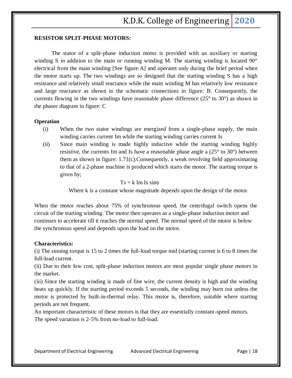#### **RESISTOR SPLIT-PHASE MOTORS:**

The stator of a split-phase induction motor is provided with an auxiliary or starting winding S in addition to the main or running winding M. The starting winding is located 90° electrical from the main winding [See figure:A] and operates only during the brief period when the motor starts up. The two windings are so designed that the starting winding S has a high resistance and relatively small reactance while the main winding M has relatively low resistance and large reactance as shown in the schematic connections in figure: B. Consequently, the currents flowing in the two windings have reasonable phase difference (25° to 30°) as shown in the phasor diagram in figure: C

#### **Operation**

- (i) When the two stator windings are energized from a single-phase supply, the main winding carries current Im while the starting winding carries current Is
- (ii) Since main winding is made highly inductive while the starting winding highly resistive, the currents Im and Is have a reasonable phase angle a  $(25^{\circ}$  to  $30^{\circ})$  between them as shown in figure: 1.71(c).Consequently, a weak revolving field approximating to that of a 2-phase machine is produced which starts the motor. The starting torque is given by;

 $Ts = k Im Is sin<sub>Φ</sub>$ 

Where k is a constant whose magnitude depends upon the design of the motor.

When the motor reaches about 75% of synchronous speed, the centrifugal switch opens the circuit of the starting winding. The motor then operates as a single-phase induction motor and continues to accelerate till it reaches the normal speed. The normal speed of the motor is below the synchronous speed and depends upon the load on the motor.

#### **Characteristics:**

(i) The sinning torque is 15 to 2 times the full-loud torque mid (starting current is 6 to 8 times the full-load current.

(ii) Due to their low cost, split-phase induction motors are most popular single phase motors in the market.

(iii) Since the starting winding is made of fine wire, the current density is high and the winding heats up quickly. If the starting period exceeds 5 seconds, the winding may burn out unless the motor is protected by built-in-thermal relay. This motor is, therefore, suitable where starting periods are not frequent.

An important characteristic of these motors is that they are essentially constant-speed motors. The speed variation is 2-5% from no-load to full-load.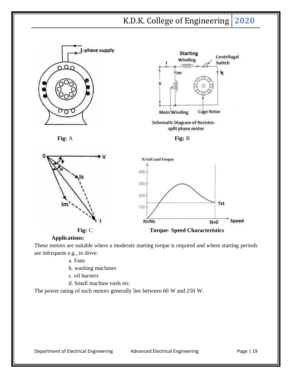

#### **Applications:**

These motors are suitable where a moderate starting torque is required and where starting periods are infrequent e.g., to drive:

a. Fans

b. washing machines

c. oil burners

d. Small machine tools etc.

The power rating of such motors generally lies between 60 W and 250 W.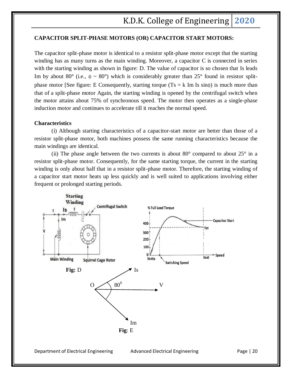#### **CAPACITOR SPLIT-PHASE MOTORS (OR) CAPACITOR START MOTORS:**

The capacitor split-phase motor is identical to a resistor split-phase motor except that the starting winding has as many turns as the main winding. Moreover, a capacitor C is connected in series with the starting winding as shown in figure: D. The value of capacitor is so chosen that Is leads Im by about 80 $^{\circ}$  (i.e.,  $\Phi \sim 80^{\circ}$ ) which is considerably greater than 25 $^{\circ}$  found in resistor splitphase motor [See figure: E Consequently, starting torque ( $Ts = k$  Im Is  $sin\phi$ ) is much more than that of a split-phase motor Again, the starting winding is opened by the centrifugal switch when the motor attains about 75% of synchronous speed. The motor then operates as a single-phase induction motor and continues to accelerate till it reaches the normal speed.

#### **Characteristics**

(i) Although starting characteristics of a capacitor-start motor are better than those of a resistor split-phase motor, both machines possess the same running characteristics because the main windings are identical.

(ii) The phase angle between the two currents is about  $80^{\circ}$  compared to about  $25^{\circ}$  in a resistor split-phase motor. Consequently, for the same starting torque, the current in the starting winding is only about half that in a resistor split-phase motor. Therefore, the starting winding of a capacitor start motor heats up less quickly and is well suited to applications involving either frequent or prolonged starting periods.

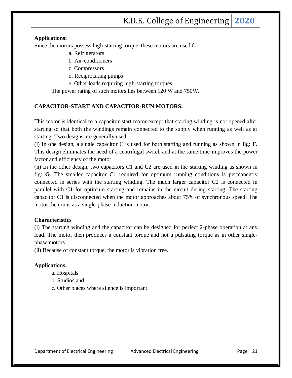#### **Applications:**

Since the motors possess high-starting torque, these motors are used for

- a. Refrigerators
- b. Air-conditioners
- c. Compressors
- d. Reciprocating pumps
- e. Other loads requiring high-starting torques.

The power rating of such motors lies between 120 W and 750W.

#### **CAPACITOR-START AND CAPACITOR-RUN MOTORS:**

This motor is identical to a capacitor-start motor except that starting winding is not opened after starting so that both the windings remain connected to the supply when running as well as at starting. Two designs are generally used.

(i) In one design, a single capacitor C is used for both starting and running as shown in fig: **F**. This design eliminates the need of a centrifugal switch and at the same time improves the power factor and efficiency of the motor.

(ii) In the other design, two capacitors C1 and C2 are used in the starting winding as shown in fig: **G**. The smaller capacitor C1 required for optimum running conditions is permanently connected in series with the starting winding. The much larger capacitor C2 is connected in parallel with C1 for optimum starting and remains in the circuit during starting. The starting capacitor C1 is disconnected when the motor approaches about 75% of synchronous speed. The motor then runs as a single-phase induction motor.

#### **Characteristics**

(i) The starting winding and the capacitor can be designed for perfect 2-phase operation at any load. The motor then produces a constant torque and not a pulsating torque as in other singlephase motors.

(ii) Because of constant torque, the motor is vibration free.

#### **Applications:**

- a. Hospitals
- b. Studios and
- c. Other places where silence is important.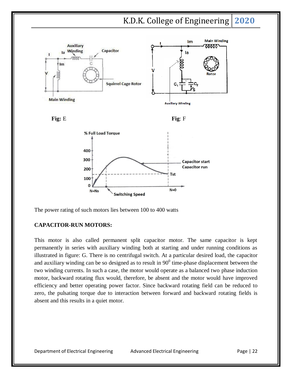

The power rating of such motors lies between 100 to 400 watts

#### **CAPACITOR-RUN MOTORS:**

This motor is also called permanent split capacitor motor. The same capacitor is kept permanently in series with auxiliary winding both at starting and under running conditions as illustrated in figure: G. There is no centrifugal switch. At a particular desired load, the capacitor and auxiliary winding can be so designed as to result in  $90^0$  time-phase displacement between the two winding currents. In such a case, the motor would operate as a balanced two phase induction motor, backward rotating flux would, therefore, be absent and the motor would have improved efficiency and better operating power factor. Since backward rotating field can be reduced to zero, the pulsating torque due to interaction between forward and backward rotating fields is absent and this results in a quiet motor.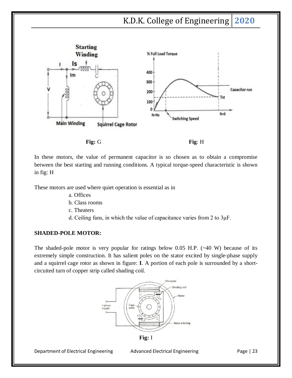



In these motors, the value of permanent capacitor is so chosen as to obtain a compromise between the best starting and running conditions. A typical torque-speed characteristic is shown in fig: H

These motors are used where quiet operation is essential as in

- a. Offices
- b. Class rooms
- c. Theaters
- d. Ceiling fans, in which the value of capacitance varies from 2 to 3μF.

#### **SHADED-POLE MOTOR:**

The shaded-pole motor is very popular for ratings below 0.05 H.P. (~40 W) because of its extremely simple construction. It has salient poles on the stator excited by single-phase supply and a squirrel cage rotor as shown in figure: **I**. A portion of each pole is surrounded by a shortcircuited turn of copper strip called shading coil.

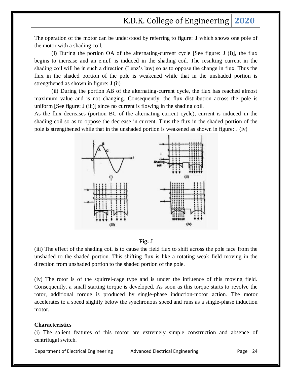The operation of the motor can be understood by referring to figure: **J** which shows one pole of the motor with a shading coil.

(i) During the portion OA of the alternating-current cycle [See figure: J (i)], the flux begins to increase and an e.m.f. is induced in the shading coil. The resulting current in the shading coil will be in such a direction (Lenz's law) so as to oppose the change in flux. Thus the flux in the shaded portion of the pole is weakened while that in the unshaded portion is strengthened as shown in figure: J (ii)

(ii) During the portion AB of the alternating-current cycle, the flux has reached almost maximum value and is not changing. Consequently, the flux distribution across the pole is uniform [See figure: J (iii)] since no current is flowing in the shading coil.

As the flux decreases (portion BC of the alternating current cycle), current is induced in the shading coil so as to oppose the decrease in current. Thus the flux in the shaded portion of the pole is strengthened while that in the unshaded portion is weakened as shown in figure: J (iv)





(iii) The effect of the shading coil is to cause the field flux to shift across the pole face from the unshaded to the shaded portion. This shifting flux is like a rotating weak field moving in the direction from unshaded portion to the shaded portion of the pole.

(iv) The rotor is of the squirrel-cage type and is under the influence of this moving field. Consequently, a small starting torque is developed. As soon as this torque starts to revolve the rotor, additional torque is produced by single-phase induction-motor action. The motor accelerates to a speed slightly below the synchronous speed and runs as a single-phase induction motor*.*

#### **Characteristics**

(i) The salient features of this motor are extremely simple construction and absence of centrifugal switch.